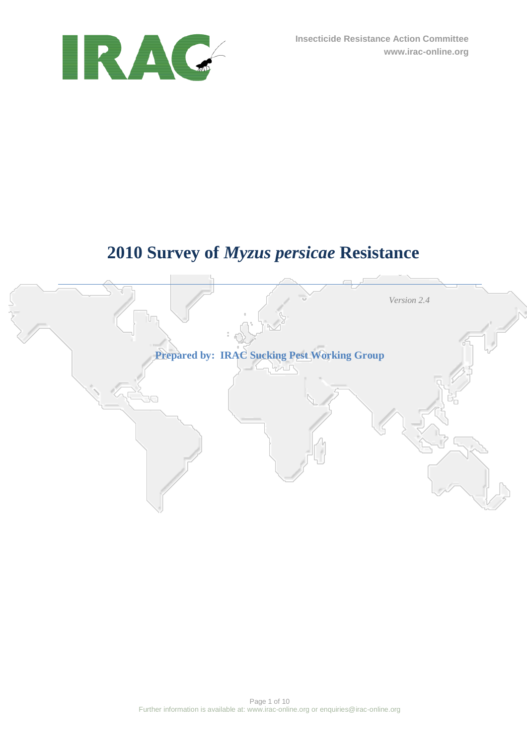

# **2010 Survey of** *Myzus persicae* **Resistance**

 *Version 2.4*

**Prepared by: IRAC Sucking Pest Working Group**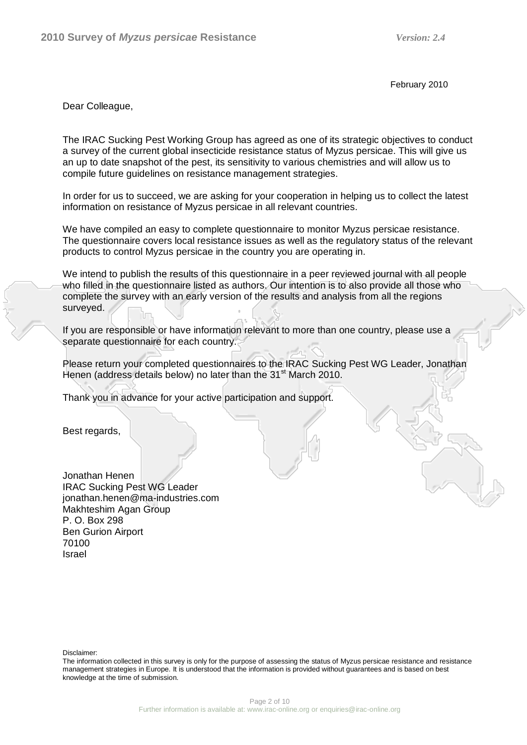February 2010

Dear Colleague,

The IRAC Sucking Pest Working Group has agreed as one of its strategic objectives to conduct a survey of the current global insecticide resistance status of Myzus persicae. This will give us an up to date snapshot of the pest, its sensitivity to various chemistries and will allow us to compile future guidelines on resistance management strategies.

In order for us to succeed, we are asking for your cooperation in helping us to collect the latest information on resistance of Myzus persicae in all relevant countries.

We have compiled an easy to complete questionnaire to monitor Myzus persicae resistance. The questionnaire covers local resistance issues as well as the regulatory status of the relevant products to control Myzus persicae in the country you are operating in.

We intend to publish the results of this questionnaire in a peer reviewed journal with all people who filled in the questionnaire listed as authors. Our intention is to also provide all those who complete the survey with an early version of the results and analysis from all the regions surveyed.

If you are responsible or have information relevant to more than one country, please use a separate questionnaire for each country.

Please return your completed questionnaires to the IRAC Sucking Pest WG Leader, Jonathan Henen (address details below) no later than the 31<sup>st</sup> March 2010.

Thank you in advance for your active participation and support.

Best regards,

Jonathan Henen IRAC Sucking Pest WG Leader jonathan.henen@ma-industries.com Makhteshim Agan Group P. O. Box 298 Ben Gurion Airport 70100 Israel

Disclaimer:

The information collected in this survey is only for the purpose of assessing the status of Myzus persicae resistance and resistance management strategies in Europe. It is understood that the information is provided without guarantees and is based on best knowledge at the time of submission.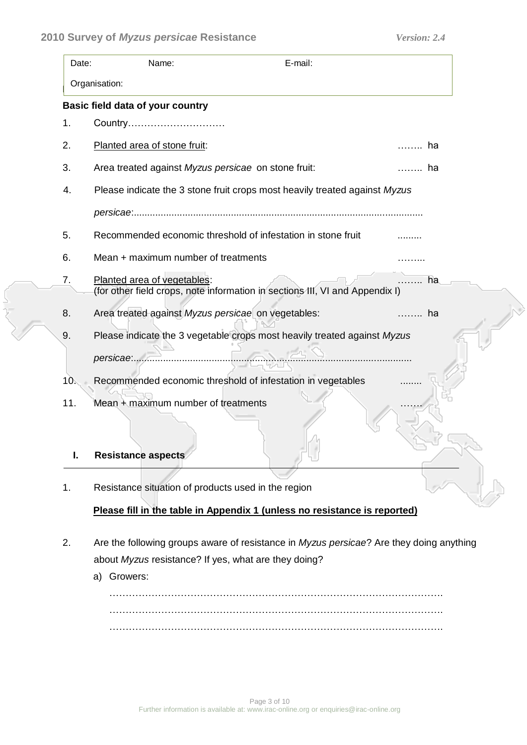$\overline{\phantom{a}}$ 

| Date: | Name:<br>E-mail:                                                                                            |        |  |
|-------|-------------------------------------------------------------------------------------------------------------|--------|--|
|       | Organisation:                                                                                               |        |  |
|       | <b>Basic field data of your country</b>                                                                     |        |  |
| 1.    | Country                                                                                                     |        |  |
| 2.    | Planted area of stone fruit:                                                                                | ……… ha |  |
| 3.    | Area treated against Myzus persicae on stone fruit:                                                         | ……… ha |  |
| 4.    | Please indicate the 3 stone fruit crops most heavily treated against Myzus                                  |        |  |
|       |                                                                                                             |        |  |
| 5.    | Recommended economic threshold of infestation in stone fruit                                                |        |  |
| 6.    | Mean + maximum number of treatments                                                                         |        |  |
| 7.    | Planted area of vegetables:<br>(for other field crops, note information in sections III, VI and Appendix I) | ……… ha |  |
| 8.    | Area treated against Myzus persicae on vegetables:                                                          | . ha   |  |
| 9.    | Please indicate the 3 vegetable crops most heavily treated against Myzus<br>persicae:                       |        |  |
| 10.   | Recommended economic threshold of infestation in vegetables                                                 |        |  |
| 11.   | Mean + maximum number of treatments                                                                         |        |  |

### **I. Resistance aspects**

1. Resistance situation of products used in the region

# **Please fill in the table in Appendix 1 (unless no resistance is reported)**

- 2. Are the following groups aware of resistance in *Myzus persicae*? Are they doing anything about *Myzus* resistance? If yes, what are they doing?
	- a) Growers:

…………………………………………………………………………………………. …………………………………………………………………………………………. ………………………………………………………………………………………….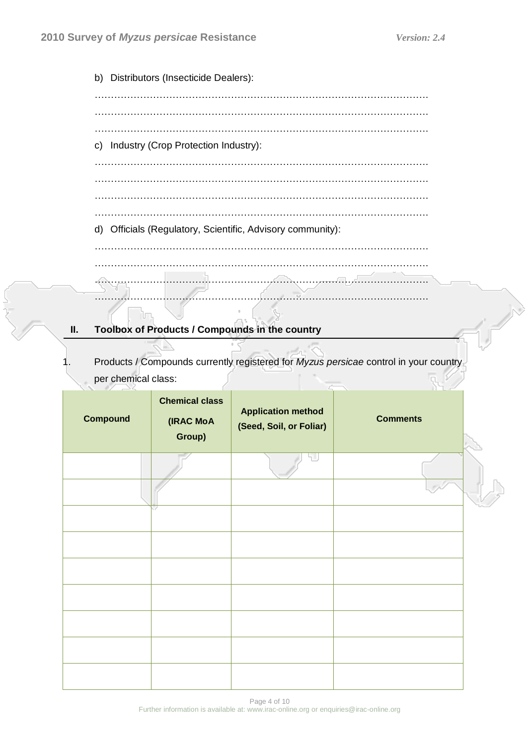b) Distributors (Insecticide Dealers):  $\mathcal{L}^{\text{max}}$  $\mathcal{L}^{(n)}$ …………………………………………………………………………………………. c) Industry (Crop Protection Industry):  $\mathcal{L}^{\text{max}}$ ………………………………………………………………………………………….  $\mathcal{L}^{\text{max}}$ …………………………………………………………………………………………. d) Officials (Regulatory, Scientific, Advisory community): ………………………………………………………………………………………….  $\mathcal{L}^{(n)}$ …………………………………………………………………………………………. ………………………………………………………………………………………….

# **II. Toolbox of Products / Compounds in the country**

1. Products / Compounds currently registered for *Myzus persicae* control in your country per chemical class:

| <b>Compound</b> | <b>Chemical class</b><br>(IRAC MoA<br>Group) | <b>Application method</b><br>(Seed, Soil, or Foliar) | <b>Comments</b> |  |
|-----------------|----------------------------------------------|------------------------------------------------------|-----------------|--|
|                 |                                              |                                                      |                 |  |
|                 |                                              |                                                      |                 |  |
|                 |                                              |                                                      |                 |  |
|                 |                                              |                                                      |                 |  |
|                 |                                              |                                                      |                 |  |
|                 |                                              |                                                      |                 |  |
|                 |                                              |                                                      |                 |  |
|                 |                                              |                                                      |                 |  |
|                 |                                              |                                                      |                 |  |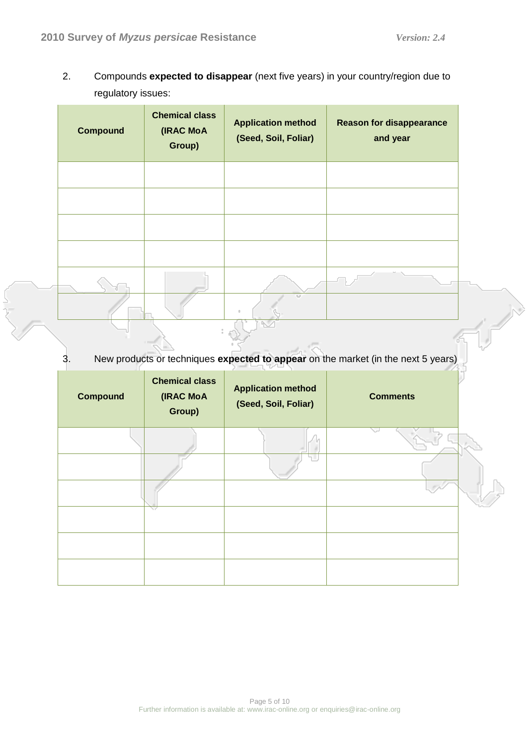2. Compounds **expected to disappear** (next five years) in your country/region due to regulatory issues:

| <b>Compound</b> | <b>Chemical class</b><br><b>Application method</b><br>(IRAC MoA<br>(Seed, Soil, Foliar)<br>Group) |  | <b>Reason for disappearance</b><br>and year |
|-----------------|---------------------------------------------------------------------------------------------------|--|---------------------------------------------|
|                 |                                                                                                   |  |                                             |
|                 |                                                                                                   |  |                                             |
|                 |                                                                                                   |  |                                             |
|                 |                                                                                                   |  |                                             |
|                 |                                                                                                   |  |                                             |
|                 |                                                                                                   |  |                                             |

3. New products or techniques **expected to appear** on the market (in the next 5 years)

| <b>Compound</b> | <b>Chemical class</b><br>(IRAC MoA<br>Group) | <b>Application method</b><br>(Seed, Soil, Foliar) | <b>Comments</b> |
|-----------------|----------------------------------------------|---------------------------------------------------|-----------------|
|                 |                                              |                                                   |                 |
|                 |                                              |                                                   |                 |
|                 |                                              |                                                   |                 |
|                 |                                              |                                                   |                 |
|                 |                                              |                                                   |                 |
|                 |                                              |                                                   |                 |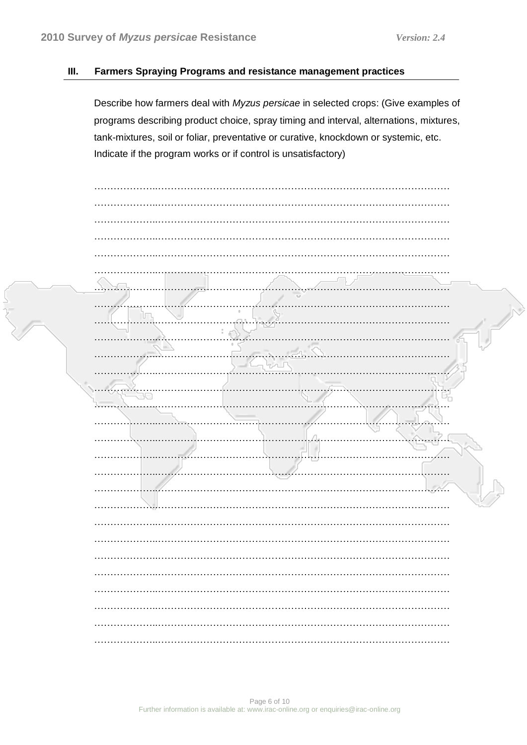18

#### Ш. Farmers Spraying Programs and resistance management practices

Describe how farmers deal with Myzus persicae in selected crops: (Give examples of programs describing product choice, spray timing and interval, alternations, mixtures, tank-mixtures, soil or foliar, preventative or curative, knockdown or systemic, etc. Indicate if the program works or if control is unsatisfactory)

| .                     |   |
|-----------------------|---|
|                       |   |
| <b>SEP</b><br>.       |   |
| a shekara<br>m.       |   |
| $\mathbb{R}^n$<br>$-$ |   |
|                       |   |
| $\cdots$<br>.         |   |
|                       |   |
|                       | . |
|                       | . |
|                       |   |
|                       |   |
|                       |   |
|                       |   |
|                       |   |
|                       |   |
|                       |   |
|                       |   |
|                       |   |
| .                     |   |
|                       |   |
|                       |   |
|                       |   |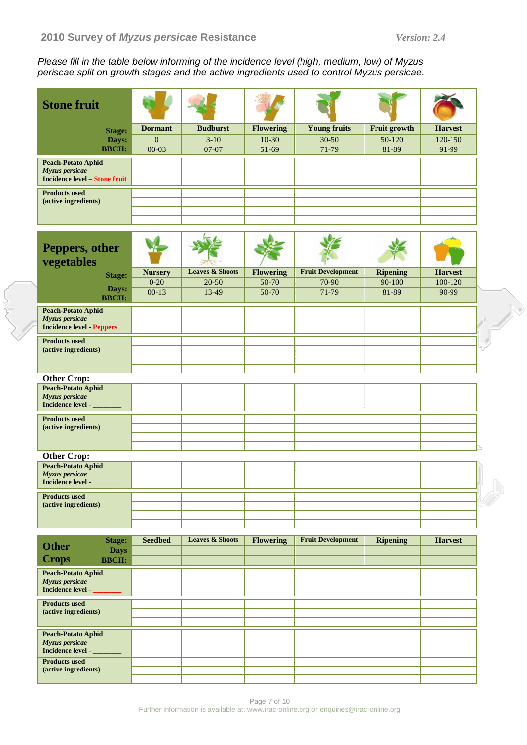i<br>T

*Please fill in the table below informing of the incidence level (high, medium, low) of Myzus periscae split on growth stages and the active ingredients used to control Myzus persicae.* 

| <b>Stone fruit</b>                                                                  |                     |                            |                  |                          |                     |                  |
|-------------------------------------------------------------------------------------|---------------------|----------------------------|------------------|--------------------------|---------------------|------------------|
| <b>Stage:</b>                                                                       | <b>Dormant</b>      | <b>Budburst</b>            | <b>Flowering</b> | <b>Young fruits</b>      | <b>Fruit growth</b> | <b>Harvest</b>   |
| Days:                                                                               | $\overline{0}$      | $3-10$                     | $10-30$          | 30-50                    | 50-120              | 120-150          |
| <b>BBCH:</b>                                                                        | 00-03               | 07-07                      | 51-69            | 71-79                    | 81-89               | 91-99            |
| <b>Peach-Potato Aphid</b><br>Myzus persicae<br><b>Incidence level - Stone fruit</b> |                     |                            |                  |                          |                     |                  |
| <b>Products used</b><br>(active ingredients)                                        |                     |                            |                  |                          |                     |                  |
|                                                                                     |                     |                            |                  |                          |                     |                  |
| Peppers, other<br>vegetables                                                        |                     |                            |                  |                          |                     |                  |
| <b>Stage:</b>                                                                       | <b>Nursery</b>      | <b>Leaves &amp; Shoots</b> | Flowering        | <b>Fruit Development</b> | <b>Ripening</b>     | <b>Harvest</b>   |
| Days:                                                                               | $0 - 20$<br>$00-13$ | 20-50<br>13-49             | 50-70<br>50-70   | 70-90<br>71-79           | 90-100<br>81-89     | 100-120<br>90-99 |
| <b>BBCH:</b>                                                                        |                     |                            |                  |                          |                     |                  |
| <b>Peach-Potato Aphid</b><br>Myzus persicae<br><b>Incidence level Peppers</b>       |                     |                            |                  |                          |                     |                  |
| <b>Products used</b>                                                                |                     |                            |                  |                          |                     |                  |
| (active ingredients)                                                                |                     |                            |                  |                          |                     |                  |
|                                                                                     |                     |                            |                  |                          |                     |                  |
| <b>Other Crop:</b>                                                                  |                     |                            |                  |                          |                     |                  |
| <b>Peach-Potato Aphid</b><br>Myzus persicae<br><b>Incidence level -</b>             |                     |                            |                  |                          |                     |                  |
| <b>Products used</b>                                                                |                     |                            |                  |                          |                     |                  |
| (active ingredients)                                                                |                     |                            |                  |                          |                     |                  |
|                                                                                     |                     |                            |                  |                          |                     |                  |
| <b>Other Crop:</b>                                                                  |                     |                            |                  |                          |                     |                  |
| <b>Peach-Potato Aphid</b><br>Myzus persicae<br><b>Incidence level -</b>             |                     |                            |                  |                          |                     |                  |
| <b>Products used</b><br>(active ingredients)                                        |                     |                            |                  |                          |                     |                  |
|                                                                                     |                     |                            |                  |                          |                     |                  |
|                                                                                     |                     |                            |                  |                          |                     |                  |
| <b>Stage:</b>                                                                       | <b>Seedbed</b>      | <b>Leaves &amp; Shoots</b> | <b>Flowering</b> | <b>Fruit Development</b> | <b>Ripening</b>     | <b>Harvest</b>   |
| <b>Other</b><br><b>Days</b><br><b>Crops</b><br><b>BBCH:</b>                         |                     |                            |                  |                          |                     |                  |
| <b>Peach-Potato Aphid</b><br>Myzus persicae<br><b>Incidence level -</b>             |                     |                            |                  |                          |                     |                  |
| <b>Products used</b><br>(active ingredients)                                        |                     |                            |                  |                          |                     |                  |
|                                                                                     |                     |                            |                  |                          |                     |                  |
| <b>Peach-Potato Aphid</b><br>Myzus persicae<br>Incidence level -                    |                     |                            |                  |                          |                     |                  |
| <b>Products used</b>                                                                |                     |                            |                  |                          |                     |                  |
| (active ingredients)                                                                |                     |                            |                  |                          |                     |                  |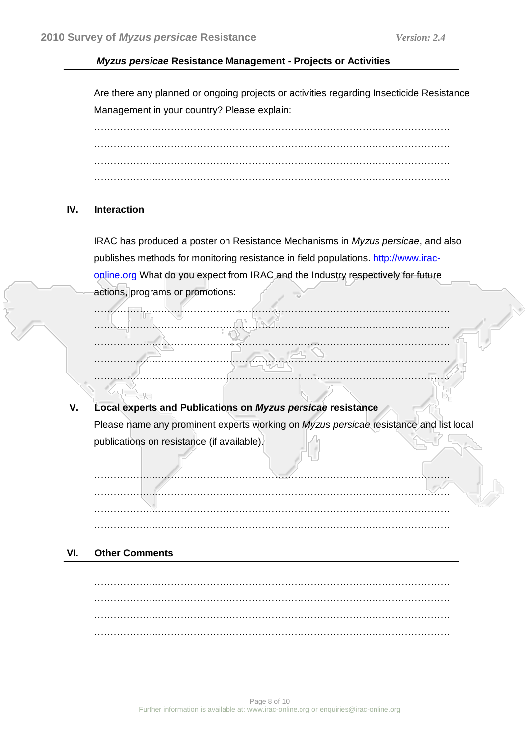………………..………………………………………………………………………………

#### *Myzus persicae* **Resistance Management - Projects or Activities**

Are there any planned or ongoing projects or activities regarding Insecticide Resistance Management in your country? Please explain:

………………..……………………………………………………………………………… ………………..……………………………………………………………………………… ………………..……………………………………………………………………………… ………………..………………………………………………………………………………

### **IV. Interaction**

IRAC has produced a poster on Resistance Mechanisms in *Myzus persicae*, and also publishes methods for monitoring resistance in field populations. [http://www.irac](http://www.irac-online.org/)[online.org](http://www.irac-online.org/) What do you expect from IRAC and the Industry respectively for future actions, programs or promotions:

# ………………..……………………………………………………………………………… ………………..……………………………………………………………………………… ………………..……………………………………………………………………………… ………………..………………………………………………………………………………

### **V. Local experts and Publications on** *Myzus persicae* **resistance**

Please name any prominent experts working on *Myzus persicae* resistance and list local publications on resistance (if available).

………………..……………………………………………………………………………… ………………..……………………………………………………………………………… ………………..……………………………………………………………………………… ………………..………………………………………………………………………………

### **VI. Other Comments**

………………..……………………………………………………………………………… ………………..……………………………………………………………………………… ………………..……………………………………………………………………………… ………………..………………………………………………………………………………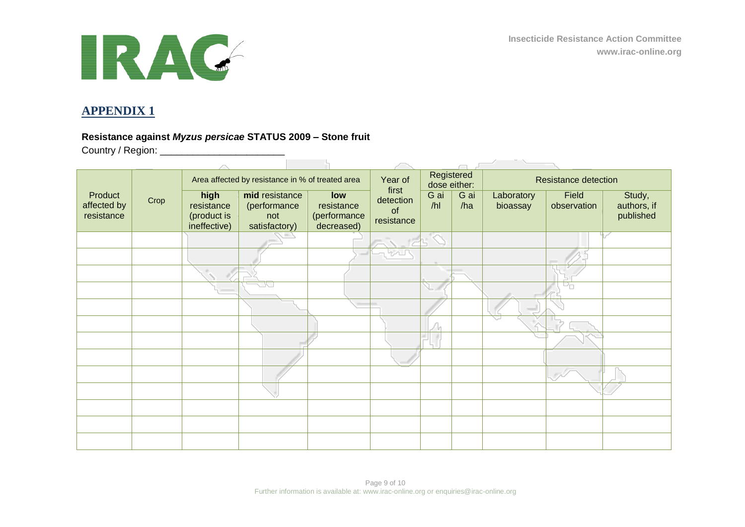

# **APPENDIX 1**

### **Resistance against** *Myzus persicae* **STATUS 2009 – Stone fruit**

**Contractor** 

Country / Region: \_\_\_\_\_\_\_\_\_\_\_\_\_\_\_\_\_\_\_\_\_\_\_

|                                      |      |                                                   | Area affected by resistance in % of treated area       |                                                 | Year of                                       | Registered<br>dose either: |             |                        | <b>Resistance detection</b> |                                    |
|--------------------------------------|------|---------------------------------------------------|--------------------------------------------------------|-------------------------------------------------|-----------------------------------------------|----------------------------|-------------|------------------------|-----------------------------|------------------------------------|
| Product<br>affected by<br>resistance | Crop | high<br>resistance<br>(product is<br>ineffective) | mid resistance<br>(performance<br>not<br>satisfactory) | low<br>resistance<br>(performance<br>decreased) | first<br>detection<br><b>of</b><br>resistance | G ai<br>/hl                | G ai<br>/ha | Laboratory<br>bioassay | Field<br>observation        | Study,<br>authors, if<br>published |
|                                      |      |                                                   |                                                        |                                                 |                                               |                            |             |                        |                             |                                    |
|                                      |      |                                                   |                                                        |                                                 |                                               |                            |             |                        |                             |                                    |
|                                      |      |                                                   |                                                        |                                                 |                                               |                            |             |                        |                             |                                    |
|                                      |      |                                                   | - -                                                    |                                                 |                                               |                            |             |                        |                             |                                    |
|                                      |      |                                                   |                                                        | $\sim$                                          | $\sim$                                        |                            |             |                        |                             |                                    |
|                                      |      |                                                   |                                                        |                                                 |                                               |                            |             |                        |                             |                                    |
|                                      |      |                                                   |                                                        |                                                 |                                               |                            |             |                        |                             |                                    |
|                                      |      |                                                   |                                                        |                                                 |                                               |                            |             |                        |                             |                                    |
|                                      |      |                                                   |                                                        |                                                 |                                               |                            |             |                        |                             |                                    |
|                                      |      |                                                   |                                                        |                                                 |                                               |                            |             |                        |                             |                                    |
|                                      |      |                                                   |                                                        |                                                 |                                               |                            |             |                        |                             |                                    |
|                                      |      |                                                   |                                                        |                                                 |                                               |                            |             |                        |                             |                                    |
|                                      |      |                                                   |                                                        |                                                 |                                               |                            |             |                        |                             |                                    |